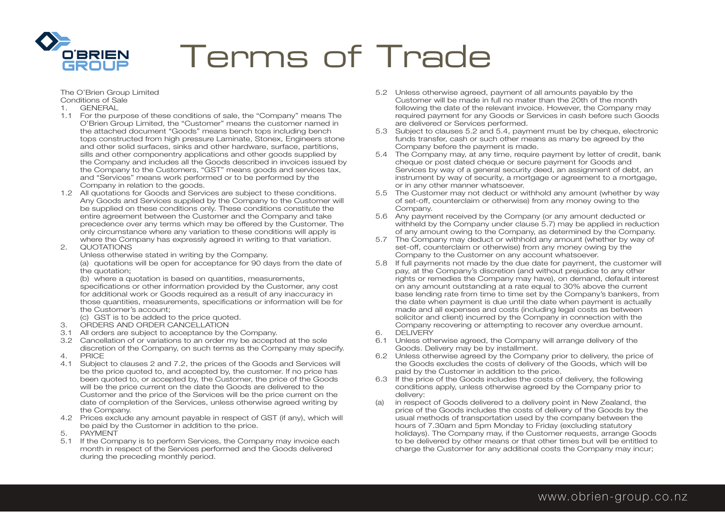

The O'Brien Group Limited Conditions of Sale

- 1. GENERAL
- 1.1 For the purpose of these conditions of sale, the "Company" means The O'Brien Group Limited, the "Customer" means the customer named in the attached document "Goods" means bench tops including bench tops constructed from high pressure Laminate, Stonex, Engineers stone and other solid surfaces, sinks and other hardware, surface, partitions, sills and other componentry applications and other goods supplied by the Company and includes all the Goods described in invoices issued by the Company to the Customers, "GST" means goods and services tax, and "Services" means work performed or to be performed by the Company in relation to the goods.
- 1.2 All quotations for Goods and Services are subject to these conditions. Any Goods and Services supplied by the Company to the Customer will be supplied on these conditions only. These conditions constitute the entire agreement between the Customer and the Company and take precedence over any terms which may be offered by the Customer. The only circumstance where any variation to these conditions will apply is where the Company has expressly agreed in writing to that variation.
- 2. QUOTATIONS

 Unless otherwise stated in writing by the Company. (a) quotations will be open for acceptance for 90 days from the date of the quotation;

 (b) where a quotation is based on quantities, measurements, specifications or other information provided by the Customer, any cost for additional work or Goods required as a result of any inaccuracy in those quantities, measurements, specifications or information will be for the Customer's account;

- (c) GST is to be added to the price quoted.
- 3. ORDERS AND ORDER CANCELLATION
- 3.1 All orders are subject to acceptance by the Company.
- 3.2 Cancellation of or variations to an order my be accepted at the sole discretion of the Company, on such terms as the Company may specify.
- 4. PRICE
- 4.1 Subject to clauses 2 and 7.2, the prices of the Goods and Services will be the price quoted to, and accepted by, the customer. If no price has been quoted to, or accepted by, the Customer, the price of the Goods will be the price current on the date the Goods are delivered to the Customer and the price of the Services will be the price current on the date of completion of the Services, unless otherwise agreed writing by the Company.
- 4.2 Prices exclude any amount payable in respect of GST (if any), which will be paid by the Customer in addition to the price.<br>5. PAYMENT
- **PAYMENT**
- 5.1 If the Company is to perform Services, the Company may invoice each month in respect of the Services performed and the Goods delivered during the preceding monthly period.
- 5.2 Unless otherwise agreed, payment of all amounts payable by the Customer will be made in full no mater than the 20th of the month following the date of the relevant invoice. However, the Company may required payment for any Goods or Services in cash before such Goods are delivered or Services performed.
- 5.3 Subject to clauses 5.2 and 5.4, payment must be by cheque, electronic funds transfer, cash or such other means as many be agreed by the Company before the payment is made.
- 5.4 The Company may, at any time, require payment by letter of credit, bank cheque or post dated cheque or secure payment for Goods and Services by way of a general security deed, an assignment of debt, an instrument by way of security, a mortgage or agreement to a mortgage. or in any other manner whatsoever.
- 5.5 The Customer may not deduct or withhold any amount (whether by way of set-off, counterclaim or otherwise) from any money owing to the Company.
- 5.6 Any payment received by the Company (or any amount deducted or withheld by the Company under clause 5.7) may be applied in reduction of any amount owing to the Company, as determined by the Company.
- 5.7 The Company may deduct or withhold any amount (whether by way of set-off, counterclaim or otherwise) from any money owing by the Company to the Customer on any account whatsoever.
- 5.8 If full payments not made by the due date for payment, the customer will pay, at the Company's discretion (and without prejudice to any other rights or remedies the Company may have), on demand, default interest on any amount outstanding at a rate equal to 30% above the current base lending rate from time to time set by the Company's bankers, from the date when payment is due until the date when payment is actually made and all expenses and costs (including legal costs as between solicitor and client) incurred by the Company in connection with the Company recovering or attempting to recover any overdue amount.<br> **6** DELIVERY
- **DELIVERY**
- 6.1 Unless otherwise agreed, the Company will arrange delivery of the Goods. Delivery may be by installment.
- 6.2 Unless otherwise agreed by the Company prior to delivery, the price of the Goods excludes the costs of delivery of the Goods, which will be paid by the Customer in addition to the price.
- 6.3 If the price of the Goods includes the costs of delivery, the following conditions apply, unless otherwise agreed by the Company prior to delivery:
- (a) in respect of Goods delivered to a delivery point in New Zealand, the price of the Goods includes the costs of delivery of the Goods by the usual methods of transportation used by the company between the hours of 7.30am and 5pm Monday to Friday (excluding statutory holidays). The Company may, if the Customer requests, arrange Goods to be delivered by other means or that other times but will be entitled to charge the Customer for any additional costs the Company may incur;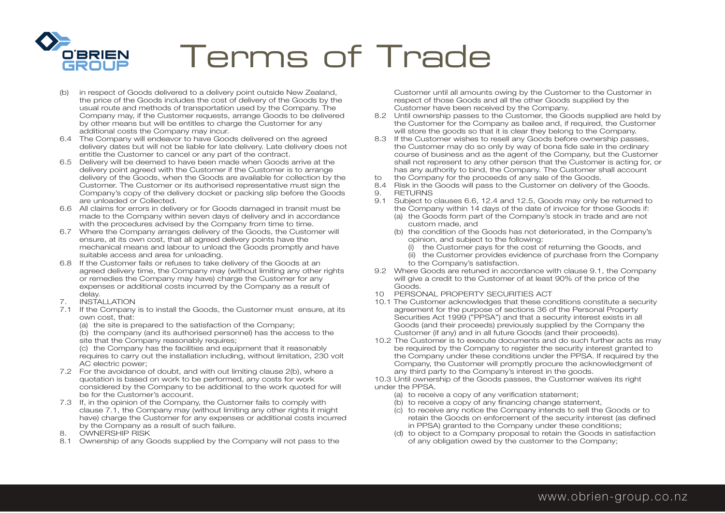

- (b) in respect of Goods delivered to a delivery point outside New Zealand, the price of the Goods includes the cost of delivery of the Goods by the usual route and methods of transportation used by the Company. The Company may, if the Customer requests, arrange Goods to be delivered by other means but will be entitles to charge the Customer for any additional costs the Company may incur.
- 6.4 The Company will endeavor to have Goods delivered on the agreed delivery dates but will not be liable for late delivery. Late delivery does not entitle the Customer to cancel or any part of the contract.
- 6.5 Delivery will be deemed to have been made when Goods arrive at the delivery point agreed with the Customer if the Customer is to arrange delivery of the Goods, when the Goods are available for collection by the Customer. The Customer or its authorised representative must sign the Company's copy of the delivery docket or packing slip before the Goods are unloaded or Collected.
- 6.6 All claims for errors in delivery or for Goods damaged in transit must be made to the Company within seven days of delivery and in accordance with the procedures advised by the Company from time to time.
- 6.7 Where the Company arranges delivery of the Goods, the Customer will ensure, at its own cost, that all agreed delivery points have the mechanical means and labour to unload the Goods promptly and have suitable access and area for unloading.
- 6.8 If the Customer fails or refuses to take delivery of the Goods at an agreed delivery time, the Company may (without limiting any other rights or remedies the Company may have) charge the Customer for any expenses or additional costs incurred by the Company as a result of
- delay.<br>7. INSTA 7. INSTALLATION
- 7.1 If the Company is to install the Goods, the Customer must ensure, at its own cost, that:
	- (a) the site is prepared to the satisfaction of the Company;
	- (b) the company (and its authorised personnel) has the access to the site that the Company reasonably requires;

 (c) the Company has the facilities and equipment that it reasonably requires to carry out the installation including, without limitation, 230 volt AC electric power;

- 7.2 For the avoidance of doubt, and with out limiting clause 2(b), where a quotation is based on work to be performed, any costs for work considered by the Company to be additional to the work quoted for will be for the Customer's account.
- 7.3 If, in the opinion of the Company, the Customer fails to comply with clause 7.1, the Company may (without limiting any other rights it might have) charge the Customer for any expenses or additional costs incurred by the Company as a result of such failure.
- 8. OWNERSHIP RISK
- 8.1 Ownership of any Goods supplied by the Company will not pass to the

 Customer until all amounts owing by the Customer to the Customer in respect of those Goods and all the other Goods supplied by the Customer have been received by the Company.

- 8.2 Until ownership passes to the Customer, the Goods supplied are held by the Customer for the Company as bailee and, if required, the Customer will store the goods so that it is clear they belong to the Company.
- 8.3 If the Customer wishes to resell any Goods before ownership passes, the Customer may do so only by way of bona fide sale in the ordinary course of business and as the agent of the Company, but the Customer shall not represent to any other person that the Customer is acting for, or has any authority to bind, the Company. The Customer shall account
- to the Company for the proceeds of any sale of the Goods.
- 8.4 Risk in the Goods will pass to the Customer on delivery of the Goods.
- 9. RETURNS
- 9.1 Subject to clauses 6.6, 12.4 and 12.5, Goods may only be returned to the Company within 14 days of the date of invoice for those Goods if:
	- (a) the Goods form part of the Company's stock in trade and are not custom made, and
	- (b) the condition of the Goods has not deteriorated, in the Company's opinion, and subject to the following:
		- (i) the Customer pays for the cost of returning the Goods, and
		- (ii) the Customer provides evidence of purchase from the Company to the Company's satisfaction.
- 9.2 Where Goods are retuned in accordance with clause 9.1, the Company will give a credit to the Customer of at least 90% of the price of the Goods.
- 10 PERSONAL PROPERTY SECURITIES ACT
- 10.1 The Customer acknowledges that these conditions constitute a security agreement for the purpose of sections 36 of the Personal Property Securities Act 1999 ("PPSA") and that a security interest exists in all Goods (and their proceeds) previously supplied by the Company the Customer (if any) and in all future Goods (and their proceeds).
- 10.2 The Customer is to execute documents and do such further acts as may be required by the Company to register the security interest granted to the Company under these conditions under the PPSA. If required by the Company, the Customer will promptly procure the acknowledgment of any third party to the Company's interest in the goods.

10.3 Until ownership of the Goods passes, the Customer waives its right under the PPSA.

- (a) to receive a copy of any verification statement;
- (b) to receive a copy of any financing change statement,
- (c) to receive any notice the Company intends to sell the Goods or to retain the Goods on enforcement of the security interest (as defined in PPSA) granted to the Company under these conditions;
- (d) to object to a Company proposal to retain the Goods in satisfaction of any obligation owed by the customer to the Company;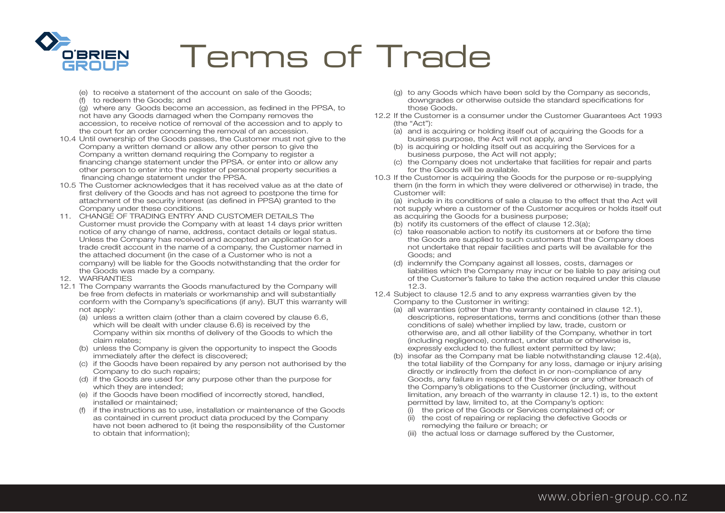

- (e) to receive a statement of the account on sale of the Goods;
- (f) to redeem the Goods; and

 (g) where any Goods become an accession, as fedined in the PPSA, to not have any Goods damaged when the Company removes the accession, to receive notice of removal of the accession and to apply to the court for an order concerning the removal of an accession.

- 10.4 Until ownership of the Goods passes, the Customer must not give to the Company a written demand or allow any other person to give the Company a written demand requiring the Company to register a financing change statement under the PPSA. or enter into or allow any other person to enter into the register of personal property securities a financing change statement under the PPSA.
- 10.5 The Customer acknowledges that it has received value as at the date of first delivery of the Goods and has not agreed to postpone the time for attachment of the security interest (as defined in PPSA) granted to the Company under these conditions.
- 11. CHANGE OF TRADING ENTRY AND CUSTOMER DETAILS The Customer must provide the Company with at least 14 days prior written notice of any change of name, address, contact details or legal status. Unless the Company has received and accepted an application for a trade credit account in the name of a company, the Customer named in the attached document (in the case of a Customer who is not a company) will be liable for the Goods notwithstanding that the order for the Goods was made by a company.
- 12. WARRANTIES
- 12.1 The Company warrants the Goods manufactured by the Company will be free from defects in materials or workmanship and will substantially conform with the Company's specifications (if any). BUT this warranty will not apply:
	- (a) unless a written claim (other than a claim covered by clause 6.6, which will be dealt with under clause 6.6) is received by the Company within six months of delivery of the Goods to which the claim relates;
	- (b) unless the Company is given the opportunity to inspect the Goods immediately after the defect is discovered;
	- (c) if the Goods have been repaired by any person not authorised by the Company to do such repairs;
	- (d) if the Goods are used for any purpose other than the purpose for which they are intended;
	- (e) if the Goods have been modified of incorrectly stored, handled, installed or maintained;
	- (f) if the instructions as to use, installation or maintenance of the Goods as contained in current product data produced by the Company have not been adhered to (it being the responsibility of the Customer to obtain that information);
- (g) to any Goods which have been sold by the Company as seconds, downgrades or otherwise outside the standard specifications for those Goods.
- 12.2 If the Customer is a consumer under the Customer Guarantees Act 1993 (the "Act"):
	- (a) and is acquiring or holding itself out of acquiring the Goods for a business purpose, the Act will not apply, and
	- (b) is acquiring or holding itself out as acquiring the Services for a business purpose, the Act will not apply;
	- (c) the Company does not undertake that facilities for repair and parts for the Goods will be available.
- 10.3 If the Customer is acquiring the Goods for the purpose or re-supplying them (in the form in which they were delivered or otherwise) in trade, the Customer will:
	- (a) include in its conditions of sale a clause to the effect that the Act will not supply where a customer of the Customer acquires or holds itself out as acquiring the Goods for a business purpose;
	- (b) notify its customers of the effect of clause 12.3(a);
	- $\overrightarrow{c}$  take reasonable action to notify its customers at or before the time the Goods are supplied to such customers that the Company does not undertake that repair facilities and parts will be available for the Goods; and
	- (d) indemnify the Company against all losses, costs, damages or liabilities which the Company may incur or be liable to pay arising out of the Customer's failure to take the action required under this clause 12.3.
- 12.4 Subject to clause 12.5 and to any express warranties given by the Company to the Customer in writing:
	- (a) all warranties (other than the warranty contained in clause 12.1), descriptions, representations, terms and conditions (other than these conditions of sale) whether implied by law, trade, custom or otherwise are, and all other liability of the Company, whether in tort (including negligence), contract, under statue or otherwise is, expressly excluded to the fullest extent permitted by law;
	- (b) insofar as the Company mat be liable notwithstanding clause 12.4(a), the total liability of the Company for any loss, damage or injury arising directly or indirectly from the defect in or non-compliance of any Goods, any failure in respect of the Services or any other breach of the Company's obligations to the Customer (including, without limitation, any breach of the warranty in clause 12.1) is, to the extent permitted by law, limited to, at the Company's option:
		- (i) the price of the Goods or Services complained of; or
		- (ii) the cost of repairing or replacing the defective Goods or remedying the failure or breach; or
		- (iii) the actual loss or damage suffered by the Customer,